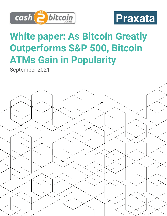



## **White paper: As Bitcoin Greatly Outperforms S&P 500, Bitcoin ATMs Gain in Popularity**

September 2021

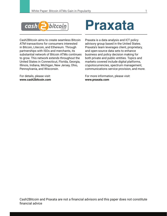

Cash2Bitcoin aims to create seamless Bitcoin ATM transactions for consumers interested in Bitcoin, Litecoin, and Ethereum. Through partnerships with ISOs and merchants, its substantial network of Bitcoin ATMs continues to grow. This network extends throughout the United States in Connecticut, Florida, Georgia, Illinois, Indiana, Michigan, New Jersey, Ohio, Pennsylvania, and Wisconsin.

For details, please visit: **www.cash2bitcoin.com**

# **Praxata**

Praxata is a data analysis and ICT policy advisory group based in the United States. Praxata's team leverages client, proprietary, and open-source data sets to enhance business and policy decision making for both private and public entities. Topics and markets covered include digital platforms, crypotocurrencies, spectrum management, communications service provision, and more.

For more information, please visit: **www.praxata.com**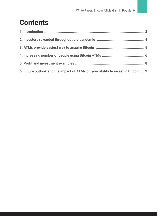### **Contents**

| 6. Future outlook and the impact of ATMs on your ability to invest in Bitcoin  9 |  |
|----------------------------------------------------------------------------------|--|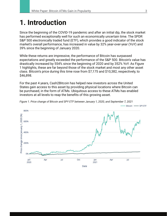#### **1. Introduction**

Since the beginning of the COVID-19 pandemic and after an initial dip, the stock market has performed exceptionally well for such an economically uncertain time. The SPDR S&P 500 electronically traded fund (ETF), which provides a good indicator of the stock market's overall performance, has increased in value by 32% year-over-year (YoY) and 39% since the beginning of January 2020.

While these returns are impressive, the performance of Bitcoin has surpassed expectations and greatly exceeded the performance of the S&P 500. Bitcoin's value has drastically increased by 554% since the beginning of 2020 and by 352% YoY. As Figure 1 highlights, these are far beyond those of the stock market and most any other asset class. Bitcoin's price during this time rose from \$7,175 and \$10,382, respectively, to \$46,898.

For the past 4 years, Cash2Bitcoin has helped new investors across the United States gain access to this asset by providing physical locations where Bitcoin can be purchased, in the form of ATMs. Ubiquitous access to these ATMs has enabled investors at all levels to reap the benefits of this growing asset.



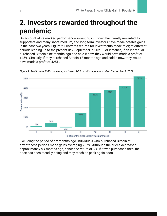### **2. Investors rewarded throughout the pandemic**

On account of its marked performance, investing in Bitcoin has greatly rewarded its supporters and many short, medium, and long-term investors have made notable gains in the past two years. Figure 2 illustrates returns for investments made at eight different periods leading up to the present day, September 7, 2021. For instance, if an individual purchased Bitcoin nine months ago and sold it now, they would have made a profit of 145%. Similarly, if they purchased Bitcoin 18 months ago and sold it now, they would have made a profit of 425%.



*Figure 2. Profi t made if Bitcoin were purchased 1-21 months ago and sold on September 7, 2021*

Excluding the period of six months ago, individuals who purchased Bitcoin at any of these periods made gains averaging 267%. Although the prices decreased approximately six months ago, hence the return of -7% if it was purchased then, the price has been steadily rising and may reach its peak again soon.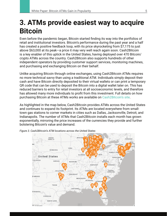#### **3. ATMs provide easiest way to acquire Bitcoin**

Even before the pandemic began, Bitcoin started finding its way into the portfolios of retail and institutional investors. Bitcoin's performance during the past year and a half has created a positive feedback loop, with its price skyrocketing from \$7,175 to just above \$63,000 at its peak—a price it may very well reach again soon. Cash2Bitcoin is a key enabler of this uptick in the United States, having deployed over 470 Bitcoin/ crypto ATMs across the country. Cash2Bitcoin also supports hundreds of other independent operators by providing customer support services, monitoring machines, and purchasing and exchanging Bitcoin on their behalf.

Unlike acquiring Bitcoin through online exchanges, using Cash2Bitcoin ATMs requires no more technical savvy than using a traditional ATM. Individuals simply deposit their cash and have Bitcoin directly deposited to their virtual wallets or can print a temporary QR code that can be used to deposit the Bitcoin into a digital wallet later on. This has reduced barriers to entry for retail investors at all socioeconomic levels, and therefore has allowed many more individuals to profit from this investment. Full details on how purchasing Bitcoin at these ATMs works are available on Cash2Bitcoin's site.

As highlighted in the map below, Cash2Bitcoin provides ATMs across the United States and continues to expand its footprint. Its ATMs are located everywhere from smalltown gas stations to corner markets in cities such as Dallas, Jacksonville, Detroit, and Indianapolis. The number of ATMs that Cash2Bitcoin installs each month has grown exponentially, mirroring the price increases of the currencies they provide and further bolstering Bitcoin's value and demand.



*Figure 3. Cash2Bitcoin's ATM locations across the United States*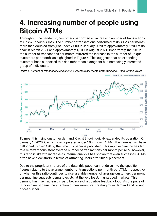Transactions -

- Unique customers

#### **4. Increasing number of people using Bitcoin ATMs**

Throughout the pandemic, customers performed an increasing number of transactions at Cash2Bitcoin's ATMs. The number of transactions performed at its ATMs per month more than doubled from just under 2,000 in January 2020 to approximately 5,200 at its peak in March 2021 and approximately 4,100 in August 2021. Importantly, the rise in the number of transactions per month mirrored the increase in the number of unique customers per month, as highlighted in Figure 4. This suggests that an expanding customer base supported this rise rather than a stagnant but increasingly interested group of individuals.



*Figure 4. Number of transactions and unique customers per month performed at all Cash2Bitcoin ATMs*

To meet this rising customer demand, Cash2Bitcoin quickly expanded its operation. On January 1, 2020, Cash2Bitcoin operated under 100 Bitcoin ATMs. This number will have ballooned to over 470 by the time this paper is published. This rapid expansion has led to a relatively consistent average number of transactions per month per ATM; however, this ratio is likely to increase as internal analysis has shown that even successful ATMs often have slow starts in terms of attracting users after initial placement.

Due to the proprietary nature of the data, this paper cannot delve into the specific figures relating to the average number of transactions per month per ATM. Irrespective of whether this ratio continues to rise, a stable number of average customers per month per machine suggests demand exists, at the very least, in untapped markets. This demand has risen, at least in part, because of a positive feedback loop. As the price of Bitcoin rises, it gains the attention of new investors, creating more demand and raising prices further.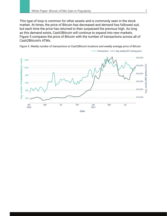This type of loop is common for other assets and is commonly seen in the stock market. At times, the price of Bitcoin has decreased and demand has followed suit, but each time the price has returned to then surpassed the previous high. As long as this demand exists, Cash2Bitcoin will continue to expand into new markets. Figure 5 compares the price of Bitcoin with the number of transactions across all of Cash2Bitcoin's ATMs.

*Figure 5. Weekly number of transactions at Cash2Bitcoin locations and weekly average price of Bitcoin*

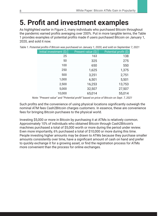### **5. Profit and investment examples**

As highlighted earlier in Figure 2, many individuals who purchased Bitcoin throughout the pandemic earned profits averaging over 200%. Put in more tangible terms, the Table 1 provides examples of potential profits made if users purchased Bitcoin on January 1, 2020, and sold it now.

| Initial investment (\$) | Present value (\$) | Potential profit (\$) |
|-------------------------|--------------------|-----------------------|
| 25                      | 163                | 138                   |
| 50                      | 325                | 275                   |
| 100                     | 650                | 550                   |
| 250                     | 1,625              | 1,375                 |
| 500                     | 3,251              | 2,751                 |
| 1,000                   | 6,501              | 5,501                 |
| 2,500                   | 16,253             | 13,753                |
| 5,000                   | 32,507             | 27,507                |
| 10,000                  | 65,014             | 55,014                |

*Table 1. Potential profits if Bitcoin was purchased on January 1, 2020, and sold on September 7, 2021*

*Note: "Present value" and "Potential profit" based on price of Bitcoin on Sept. 7, 2021*

Such profits and the convenience of using physical locations significantly outweigh the nominal ATM fees Cash2Bitcoin charges customers. In essence, these are convenience fees for bringing Bitcoin purchases to the physical world.

Investing \$5,000 or more in Bitcoin by purchasing it at ATMs is relatively common. Approximately 10% of individuals who obtained Bitcoin through Cash2Bitcoin's machines purchased a total of \$5,000 worth or more during the period under review. Even more importantly, 6% purchased a total of \$10,000 or more during this time. People investing higher amounts may be drawn to ATMs because they purchase smaller amounts consistently over time, have a significant amount of cash on hand and prefer to quickly exchange it for a growing asset, or find the registration process for ATMs more convenient than the process for online exchanges.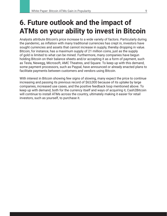### **6. Future outlook and the impact of ATMs on your ability to invest in Bitcoin**

Analysts attribute Bitcoin's price increase to a wide variety of factors. Particularly during the pandemic, as inflation with many traditional currencies has crept in, investors have sought currencies and assets that cannot increase in supply, thereby dropping in value. Bitcoin, for instance, has a maximum supply of 21 million coins, just as the supply of gold is limited to what can be mined. Furthermore, many companies have begun holding Bitcoin on their balance sheets and/or accepting it as a form of payment, such as Tesla, Newegg, Microsoft, AMC Theatres, and Square. To keep up with this demand, some payment processors, such as Paypal, have announced or already enacted plans to facilitate payments between customers and vendors using Bitcoin.

With interest in Bitcoin showing few signs of slowing, many expect the price to continue increasing and passing its previous record of \$63,000 because of its uptake by large companies, increased use cases, and the positive feedback loop mentioned above. To keep up with demand, both for the currency itself and ways of acquiring it, Cash2Bitcoin will continue to install ATMs across the country, ultimately making it easier for retail investors, such as yourself, to purchase it.